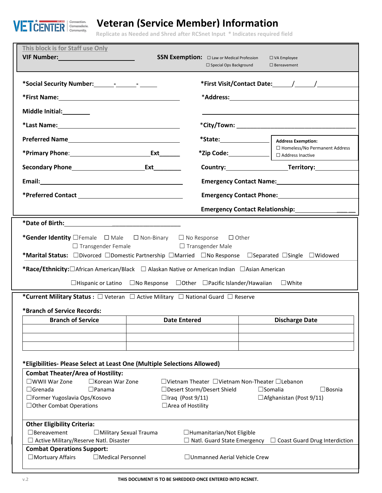

## **Veteran (Service Member) Information**

**Form (VIF) Replicate as Needed and Shred after RCSnet Input \* Indicates required field**

| This block is for Staff use Only<br><b>VIF Number:</b> William Street William Street William Street William Street William Street William Street William                                                                                                                                                                                                                                                                                                                                                                                                                        |                     | <b>SSN Exemption:</b> $\Box$ Law or Medical Profession<br>$\Box$ Special Ops Background | $\square$ VA Employee<br>$\square$ Bereavement             |  |  |  |  |
|---------------------------------------------------------------------------------------------------------------------------------------------------------------------------------------------------------------------------------------------------------------------------------------------------------------------------------------------------------------------------------------------------------------------------------------------------------------------------------------------------------------------------------------------------------------------------------|---------------------|-----------------------------------------------------------------------------------------|------------------------------------------------------------|--|--|--|--|
|                                                                                                                                                                                                                                                                                                                                                                                                                                                                                                                                                                                 |                     |                                                                                         |                                                            |  |  |  |  |
|                                                                                                                                                                                                                                                                                                                                                                                                                                                                                                                                                                                 |                     |                                                                                         |                                                            |  |  |  |  |
| Middle Initial:_________                                                                                                                                                                                                                                                                                                                                                                                                                                                                                                                                                        |                     |                                                                                         |                                                            |  |  |  |  |
|                                                                                                                                                                                                                                                                                                                                                                                                                                                                                                                                                                                 |                     |                                                                                         |                                                            |  |  |  |  |
|                                                                                                                                                                                                                                                                                                                                                                                                                                                                                                                                                                                 |                     |                                                                                         | <b>Address Exemption:</b>                                  |  |  |  |  |
|                                                                                                                                                                                                                                                                                                                                                                                                                                                                                                                                                                                 |                     | $*$ Zip Code: $\_\_\_\_\_\_\_\_\_\_\_\_$                                                | $\Box$ Homeless/No Permanent Address<br>□ Address Inactive |  |  |  |  |
|                                                                                                                                                                                                                                                                                                                                                                                                                                                                                                                                                                                 | <b>Ext</b>          |                                                                                         |                                                            |  |  |  |  |
|                                                                                                                                                                                                                                                                                                                                                                                                                                                                                                                                                                                 |                     | Emergency Contact Name: Mannell Allen Management Contact Name:                          |                                                            |  |  |  |  |
|                                                                                                                                                                                                                                                                                                                                                                                                                                                                                                                                                                                 |                     | Emergency Contact Phone: Management Contact Phone:                                      |                                                            |  |  |  |  |
|                                                                                                                                                                                                                                                                                                                                                                                                                                                                                                                                                                                 |                     |                                                                                         |                                                            |  |  |  |  |
| *Gender Identity □ Female □ Male □ Non-Binary<br>$\Box$ No Response<br>$\Box$ Other<br>$\Box$ Transgender Female<br>$\Box$ Transgender Male<br>*Marital Status: □Divorced □Domestic Partnership □Married □No Response □Separated □Single □Widowed<br><b>*Race/Ethnicity:</b> □African American/Black □ Alaskan Native or American Indian □Asian American<br>$\Box$ Hispanic or Latino $\Box$ No Response $\Box$ Other $\Box$ Pacific Islander/Hawaiian<br>$\Box$ White<br>*Current Military Status : $\Box$ Veteran $\Box$ Active Military $\Box$ National Guard $\Box$ Reserve |                     |                                                                                         |                                                            |  |  |  |  |
| *Branch of Service Records:<br><b>Branch of Service</b>                                                                                                                                                                                                                                                                                                                                                                                                                                                                                                                         | <b>Date Entered</b> |                                                                                         | <b>Discharge Date</b>                                      |  |  |  |  |
|                                                                                                                                                                                                                                                                                                                                                                                                                                                                                                                                                                                 |                     |                                                                                         |                                                            |  |  |  |  |
|                                                                                                                                                                                                                                                                                                                                                                                                                                                                                                                                                                                 |                     |                                                                                         |                                                            |  |  |  |  |
| *Eligibilities- Please Select at Least One (Multiple Selections Allowed)<br><b>Combat Theater/Area of Hostility:</b><br>□WWII War Zone<br>□Korean War Zone<br>□Vietnam Theater □Vietnam Non-Theater □Lebanon<br>$\Box$ Grenada<br>$\Box$ Panama<br>□Desert Storm/Desert Shield<br>$\square$ Somalia<br>$\Box$ Bosnia<br>□Former Yugoslavia Ops/Kosovo<br>$\Box$ Iraq (Post 9/11)<br>□ Afghanistan (Post 9/11)<br>□ Area of Hostility<br>□ Other Combat Operations                                                                                                               |                     |                                                                                         |                                                            |  |  |  |  |
| <b>Other Eligibility Criteria:</b><br>$\Box$ Bereavement<br>□ Military Sexual Trauma<br>$\Box$ Humanitarian/Not Eligible<br>$\Box$ Active Military/Reserve Natl. Disaster<br>$\Box$ Natl. Guard State Emergency<br>$\Box$ Coast Guard Drug Interdiction                                                                                                                                                                                                                                                                                                                         |                     |                                                                                         |                                                            |  |  |  |  |
| <b>Combat Operations Support:</b><br>□ Mortuary Affairs<br>$\Box$ Medical Personnel<br>□ Unmanned Aerial Vehicle Crew                                                                                                                                                                                                                                                                                                                                                                                                                                                           |                     |                                                                                         |                                                            |  |  |  |  |